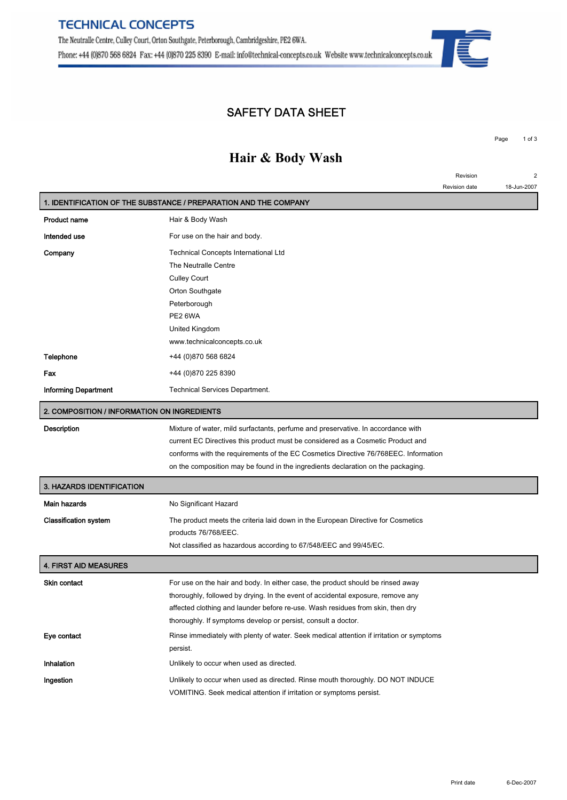## **SAFETY DATA SHEET**

## **Hair & Body Wash**

|                                             |                                                                                          | Revision      | $\overline{c}$ |
|---------------------------------------------|------------------------------------------------------------------------------------------|---------------|----------------|
|                                             |                                                                                          | Revision date | 18-Jun-2007    |
|                                             | 1. IDENTIFICATION OF THE SUBSTANCE / PREPARATION AND THE COMPANY                         |               |                |
| Product name                                | Hair & Body Wash                                                                         |               |                |
| Intended use                                | For use on the hair and body.                                                            |               |                |
| Company                                     | Technical Concepts International Ltd                                                     |               |                |
|                                             | The Neutralle Centre                                                                     |               |                |
|                                             | <b>Culley Court</b>                                                                      |               |                |
|                                             | Orton Southgate                                                                          |               |                |
|                                             | Peterborough                                                                             |               |                |
|                                             | PE2 6WA                                                                                  |               |                |
|                                             | United Kingdom                                                                           |               |                |
|                                             | www.technicalconcepts.co.uk                                                              |               |                |
| Telephone                                   | +44 (0)870 568 6824                                                                      |               |                |
| Fax                                         | +44 (0)870 225 8390                                                                      |               |                |
| Informing Department                        | <b>Technical Services Department.</b>                                                    |               |                |
| 2. COMPOSITION / INFORMATION ON INGREDIENTS |                                                                                          |               |                |
| Description                                 | Mixture of water, mild surfactants, perfume and preservative. In accordance with         |               |                |
|                                             | current EC Directives this product must be considered as a Cosmetic Product and          |               |                |
|                                             | conforms with the requirements of the EC Cosmetics Directive 76/768EEC. Information      |               |                |
|                                             | on the composition may be found in the ingredients declaration on the packaging.         |               |                |
| <b>3. HAZARDS IDENTIFICATION</b>            |                                                                                          |               |                |
| Main hazards                                | No Significant Hazard                                                                    |               |                |
| <b>Classification system</b>                | The product meets the criteria laid down in the European Directive for Cosmetics         |               |                |
|                                             | products 76/768/EEC.                                                                     |               |                |
|                                             | Not classified as hazardous according to 67/548/EEC and 99/45/EC.                        |               |                |
| 4. FIRST AID MEASURES                       |                                                                                          |               |                |
| Skin contact                                | For use on the hair and body. In either case, the product should be rinsed away          |               |                |
|                                             | thoroughly, followed by drying. In the event of accidental exposure, remove any          |               |                |
|                                             | affected clothing and launder before re-use. Wash residues from skin, then dry           |               |                |
|                                             | thoroughly. If symptoms develop or persist, consult a doctor.                            |               |                |
| Eye contact                                 | Rinse immediately with plenty of water. Seek medical attention if irritation or symptoms |               |                |
|                                             | persist.                                                                                 |               |                |
| Inhalation                                  | Unlikely to occur when used as directed.                                                 |               |                |
| Ingestion                                   | Unlikely to occur when used as directed. Rinse mouth thoroughly. DO NOT INDUCE           |               |                |
|                                             |                                                                                          |               |                |

**VOMITING. Seek medical attention if irritation or symptoms persist.**



**Page 1 of 3**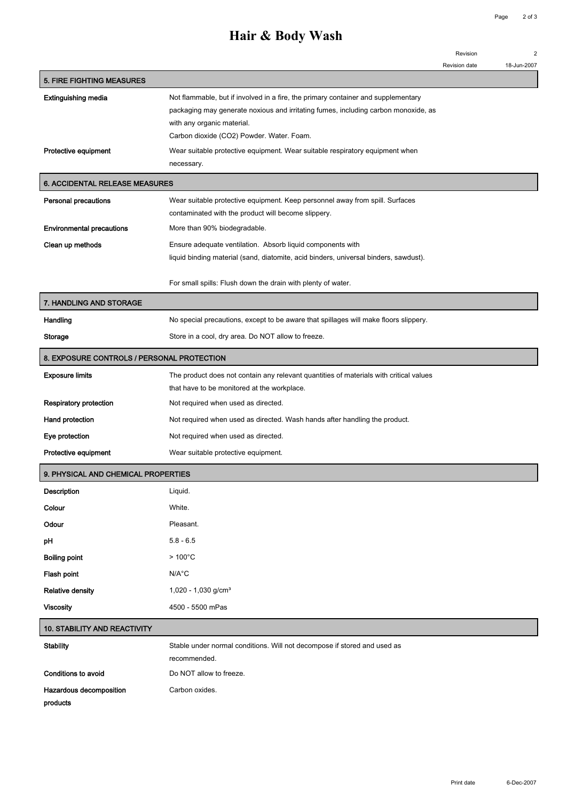## **Hair & Body Wash**

**Revision 2**

| n | 0007 |
|---|------|

|                                            |                                                                                                                                                                         | Revision date | 18-Jun-2007 |
|--------------------------------------------|-------------------------------------------------------------------------------------------------------------------------------------------------------------------------|---------------|-------------|
| <b>5. FIRE FIGHTING MEASURES</b>           |                                                                                                                                                                         |               |             |
| Extinguishing media                        | Not flammable, but if involved in a fire, the primary container and supplementary<br>packaging may generate noxious and irritating fumes, including carbon monoxide, as |               |             |
|                                            | with any organic material.                                                                                                                                              |               |             |
|                                            | Carbon dioxide (CO2) Powder. Water. Foam.                                                                                                                               |               |             |
| Protective equipment                       | Wear suitable protective equipment. Wear suitable respiratory equipment when                                                                                            |               |             |
|                                            | necessary.                                                                                                                                                              |               |             |
| <b>6. ACCIDENTAL RELEASE MEASURES</b>      |                                                                                                                                                                         |               |             |
| <b>Personal precautions</b>                | Wear suitable protective equipment. Keep personnel away from spill. Surfaces                                                                                            |               |             |
|                                            | contaminated with the product will become slippery.                                                                                                                     |               |             |
| <b>Environmental precautions</b>           | More than 90% biodegradable.                                                                                                                                            |               |             |
| Clean up methods                           | Ensure adequate ventilation. Absorb liquid components with                                                                                                              |               |             |
|                                            | liquid binding material (sand, diatomite, acid binders, universal binders, sawdust).                                                                                    |               |             |
|                                            | For small spills: Flush down the drain with plenty of water.                                                                                                            |               |             |
| 7. HANDLING AND STORAGE                    |                                                                                                                                                                         |               |             |
| Handling                                   | No special precautions, except to be aware that spillages will make floors slippery.                                                                                    |               |             |
| Storage                                    | Store in a cool, dry area. Do NOT allow to freeze.                                                                                                                      |               |             |
| 8. EXPOSURE CONTROLS / PERSONAL PROTECTION |                                                                                                                                                                         |               |             |
| <b>Exposure limits</b>                     | The product does not contain any relevant quantities of materials with critical values                                                                                  |               |             |
|                                            | that have to be monitored at the workplace.                                                                                                                             |               |             |
| <b>Respiratory protection</b>              | Not required when used as directed.                                                                                                                                     |               |             |
| Hand protection                            | Not required when used as directed. Wash hands after handling the product.                                                                                              |               |             |
| Eye protection                             | Not required when used as directed.                                                                                                                                     |               |             |
| Protective equipment                       | Wear suitable protective equipment.                                                                                                                                     |               |             |
| 9. PHYSICAL AND CHEMICAL PROPERTIES        |                                                                                                                                                                         |               |             |
| Description                                | Liquid.                                                                                                                                                                 |               |             |
| Colour                                     | White.                                                                                                                                                                  |               |             |
| Odour                                      | Pleasant.                                                                                                                                                               |               |             |
| pH                                         | $5.8 - 6.5$                                                                                                                                                             |               |             |
| <b>Boiling point</b>                       | $>100^{\circ}$ C                                                                                                                                                        |               |             |
| Flash point                                | $N/A^{\circ}C$                                                                                                                                                          |               |             |
| <b>Relative density</b>                    | 1,020 - 1,030 g/cm <sup>3</sup>                                                                                                                                         |               |             |
| <b>Viscosity</b>                           | 4500 - 5500 mPas                                                                                                                                                        |               |             |
| 10. STABILITY AND REACTIVITY               |                                                                                                                                                                         |               |             |
| <b>Stability</b>                           | Stable under normal conditions. Will not decompose if stored and used as                                                                                                |               |             |
|                                            | recommended.                                                                                                                                                            |               |             |
| Conditions to avoid                        | Do NOT allow to freeze.                                                                                                                                                 |               |             |
| Hazardous decomposition                    | Carbon oxides.                                                                                                                                                          |               |             |
| products                                   |                                                                                                                                                                         |               |             |